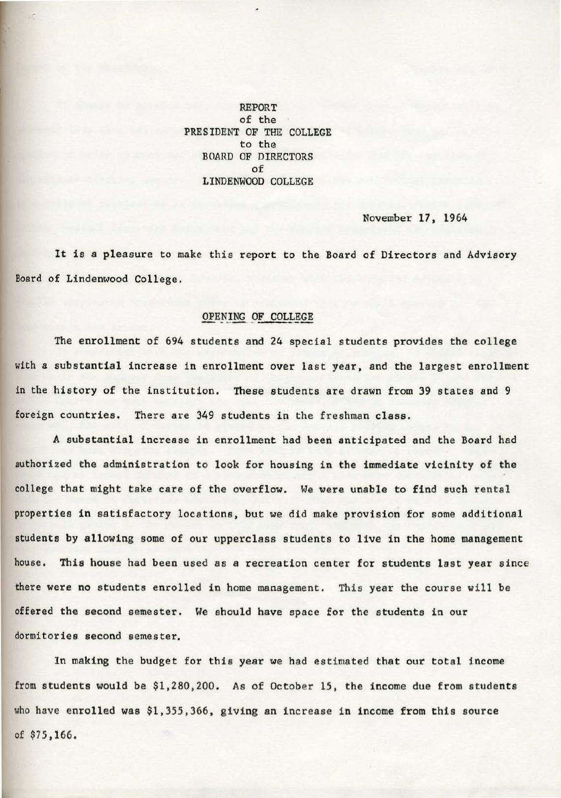REPORT of the PRESIDENT OF THE COLLEGE to the BOARD OF DIRECTORS of LINDENWOOD COLLEGE

November 17, 1964

It is a pleasure to make this report to the Board of Directors and Advisory Board of Lindenwood College.

## OPENING OF COLLEGE

The enrollment of 694 students and 24 special students provides the college with a substantial increase in enrollment over last year, and the largest enrollment in the history of the institution. These students are drawn from 39 states and <sup>9</sup> foreign countries. There are 349 students in the freshman class.

A substantial increase in enrollment had been anticipated and the Board had authorized the administration to look for housing in the immediate vicinity of the college that might take care of the overflow. We were unable to find such rental properties in satisfactory locations, but we did make provision for some additional students by allowing some of our upperclass students to live in the home management house. This house had been used as a recreation center for students last year since there were no students enrolled in home management. This year the course will be offered the second semester. We should have space for the students in our dormitories second semester.

In making the budget for this year we had estimated that our total income from students would be \$1,280,200. As of October 15, the income due from students who have enrolled was \$1,355,366, giving an increase in income from this source of \$75,166,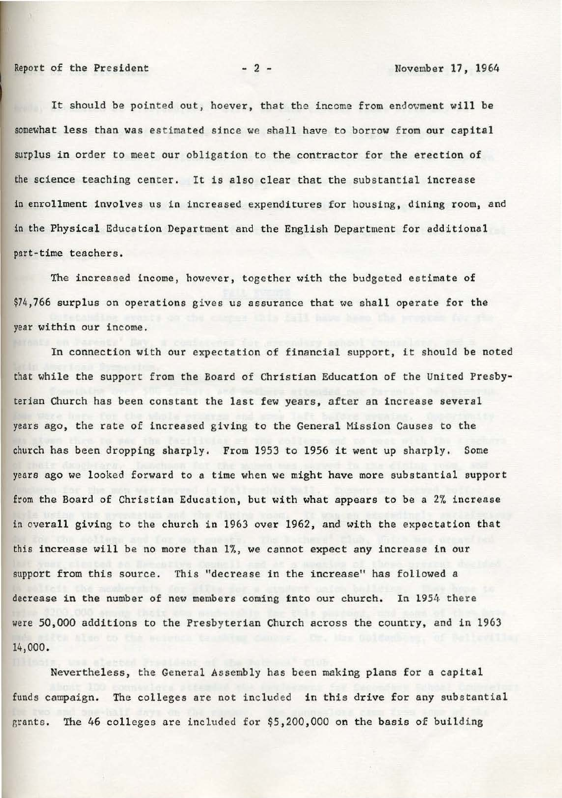It should be pointed out, hoever, that the income from endowment will be somewhat less than was estimated since we shall have *to* borrow from our capital surplus in order to meet our obligation to the contractor for the erection of the science teaching center. It is also clear that the substantial increase in enrollment involves us in increased expenditures for housing, dining room, and in the Physical Education Department and the English Department for additional part-time teachers.

The increased income, however, together with the budgeted estimate of \$74,766 surplus on operations gives us assurance that we shall operate for the year within our income.

In connection with our expectation of financial support, it should be noted that while the support from the Board of Christian Education of the United Presbyterian Church has been constant the last few years, after an increase several years ago, the rate of increased giving to the General Mission Causes to the church has been dropping sharply. From 1953 to 1956 it went up sharply. Some years ago we looked forward to a time when we might have more substantial support from the Board of Christian Education, but with what appears to be a 2% increase in overall giving to the church in 1963 over 1962, and with the expectation that this increase will be no more than 1%, we cannot expect any increase in our support from this source. This "decrease in the increase" has followed a decrease in the number of new members coming fnto our church. In 1954 there were 50,000 additions to the Presbyterian Church across the country, and in 1963 14) 000.

Nevertheless, the General Assembly has been making plans for a capital funds campaign. The colleges are not included in this drive for any substantial grants. The 46 colleges are included for \$5,200,000 on the basis of building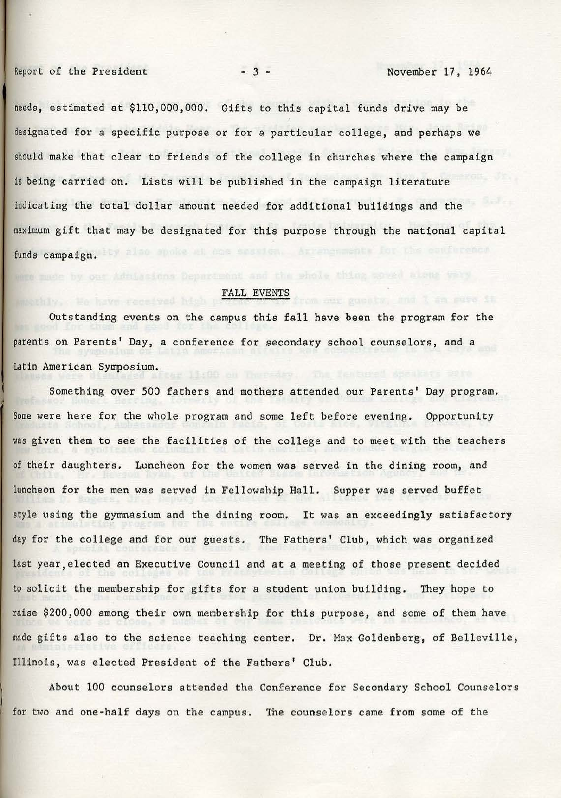needs, estimated at \$110,000,000. Gifts to this capital funds drive may be designated for a specific purpose or for a particular college, and perhaps we should make that clear to friends of the college in churches where the campaign is being carried on. Lists will be published in the campaign literature indicating the total dollar amount needed for additional buildings and the maximum gift that may be designated for this purpose through the national capital funds campaign.

## FALL EVENTS

Outstanding events on the campus this fall have been the program for the parents on Parents' Day, a conference for secondary school counselors, and a Latin American Symposium.

Something over 500 fathers and mothers attended our Parents' Day program. Some were here for the whole program and some left before evening. Opportunity was given them to see the facilities of the college and to meet with the teachers of their daughters. Luncheon for the women was served in the dining room, and luncheon for the men was served in Fellowship Hall. Supper was served buffet style using the gymnasium and the dining room. It was an exceedingly satisfactory day for the college and for our guests. The Fathers' Club, which was organized last year, elected an Executive Council and at a meeting of those present decided to solicit the membership for gifts for a student union building. They hope to raise \$200,000 among their own membership for this purpose, and some of them have made gifts also to the science teaching center. Dr. Max Goldenberg, of Belleville, Illinois, was elected President of the Fathers' Club.

About 100 counselors attended the Conference for Secondary School Counselors for two and one-half days on the campus. The counselors came from some of the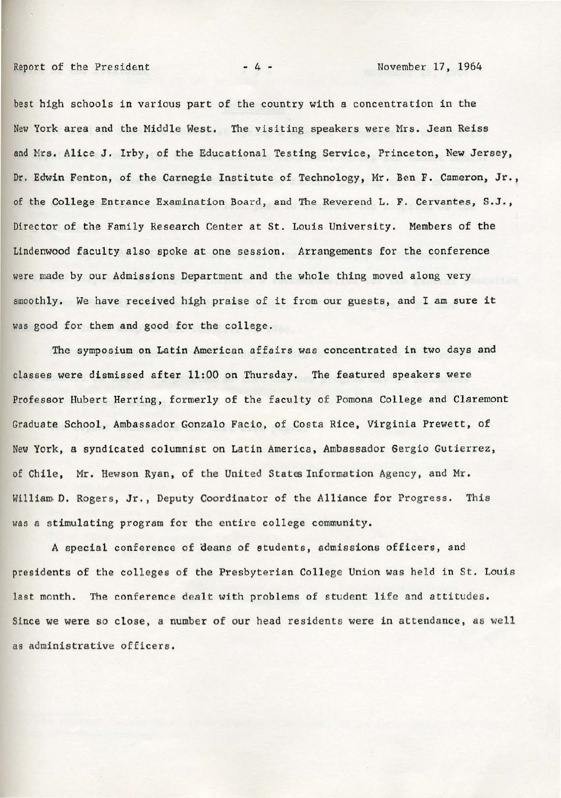Report of the President  $-4 -$  November 17, 1964

best high schools in various part of the country with a concentration in the New York area and the Middle West. The visiting speakers were Mrs. Jean Reiss and Mrs. Alice J. Irby, of the Educational Testing Service, Princeton, New Jersey, Dr. Edwin Fenton, of the Carnegie Institute of Technology, Mr. Ben F. Cameron, Jr., of the College Entrance Examination Board, and The Reverend L. F. Cervantes, S.J., Director of the Family Research Center at St. Louis University. Members of the Lindenwood faculty also spoke at one session. Arrangements for the conference were made by our Admissions Department and the whole thing moved along very smoothly. We have received high praise of it from our guests, and I am sure it was good for them and good for the college.

The symposium on Latin American affairs was concentrated in two days and classes were dismissed after 11:00 on Thursday. The featured speakers were Professor Hubert Herring, formerly of the faculty of Pomona College and Claremont Graduate School, Ambassador Gonzalo Facio, of Costa Rice, Virginia Prewett, of New York, a syndicated columnist on Latin America, Ambassador Sergio Gutierrez, of Chile, Mr. Hewson Ryan, of the United States Information Agency, and Mr. William, 0. Rogers, Jr., Deputy Coordinator of the Alliance for Progress. This was a stimulating program for the entire college community.

A special conference of deans of students, admissions officers, and presidents of the colleges of the Presbyterian College Union was held in St. Louis last month. The conference dealt with problems of student life and attitudes. Since we were so close, a number of our head residents were in attendance, as well as administrative officers.